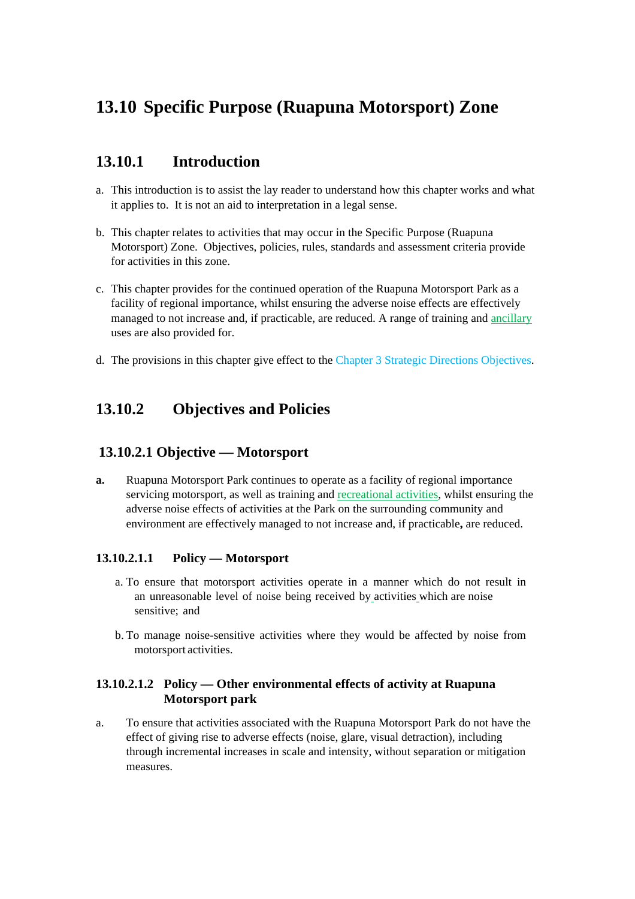# **13.10 Specific Purpose (Ruapuna Motorsport) Zone**

# **13.10.1 Introduction**

- a. This introduction is to assist the lay reader to understand how this chapter works and what it applies to. It is not an aid to interpretation in a legal sense.
- b. This chapter relates to activities that may occur in the Specific Purpose (Ruapuna Motorsport) Zone. Objectives, policies, rules, standards and assessment criteria provide for activities in this zone.
- c. This chapter provides for the continued operation of the Ruapuna Motorsport Park as a facility of regional importance, whilst ensuring the adverse noise effects are effectively managed to not increase and, if practicable, are reduced. A range of training and ancillary uses are also provided for.
- d. The provisions in this chapter give effect to the Chapter 3 Strategic Directions Objectives.

# **13.10.2 Objectives and Policies**

# **13.10.2.1 Objective — Motorsport**

**a.** Ruapuna Motorsport Park continues to operate as a facility of regional importance servicing motorsport, as well as training and recreational activities, whilst ensuring the adverse noise effects of activities at the Park on the surrounding community and environment are effectively managed to not increase and, if practicable**,** are reduced.

#### **13.10.2.1.1 Policy — Motorsport**

- a. To ensure that motorsport activities operate in a manner which do not result in an unreasonable level of noise being received by activities which are noise sensitive; and
- b. To manage noise-sensitive activities where they would be affected by noise from motorsport activities.

#### **13.10.2.1.2 Policy — Other environmental effects of activity at Ruapuna Motorsport park**

a. To ensure that activities associated with the Ruapuna Motorsport Park do not have the effect of giving rise to adverse effects (noise, glare, visual detraction), including through incremental increases in scale and intensity, without separation or mitigation measures.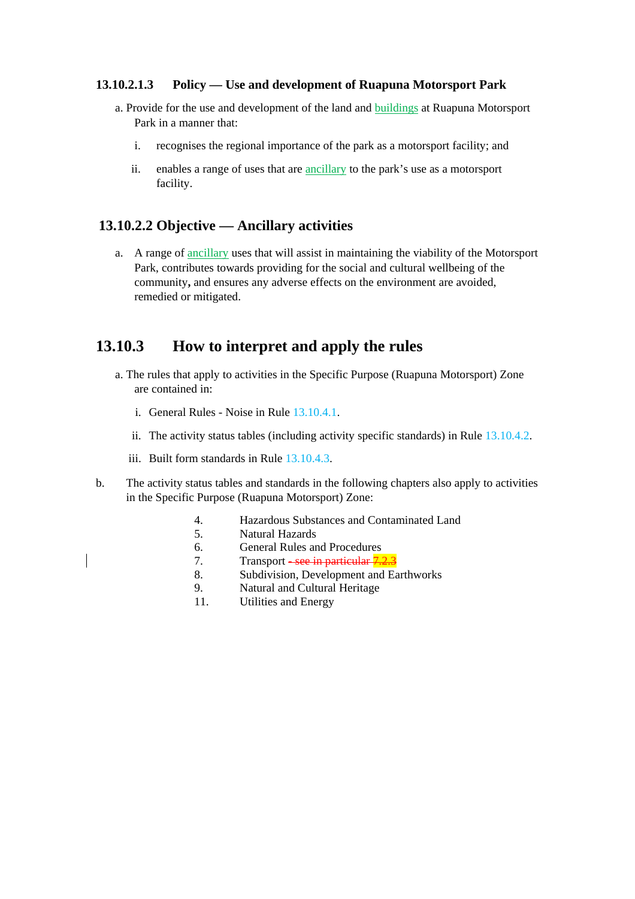#### **13.10.2.1.3 Policy — Use and development of Ruapuna Motorsport Park**

- a. Provide for the use and development of the land and buildings at Ruapuna Motorsport Park in a manner that:
	- i. recognises the regional importance of the park as a motorsport facility; and
	- ii. enables a range of uses that are ancillary to the park's use as a motorsport facility.

### **13.10.2.2 Objective — Ancillary activities**

a. A range of ancillary uses that will assist in maintaining the viability of the Motorsport Park, contributes towards providing for the social and cultural wellbeing of the community**,** and ensures any adverse effects on the environment are avoided, remedied or mitigated.

# **13.10.3 How to interpret and apply the rules**

- a. The rules that apply to activities in the Specific Purpose (Ruapuna Motorsport) Zone are contained in:
	- i. General Rules Noise in Rule 13.10.4.1.
	- ii. The activity status tables (including activity specific standards) in Rule 13.10.4.2.
	- iii. Built form standards in Rule 13.10.4.3.
- b. The activity status tables and standards in the following chapters also apply to activities in the Specific Purpose (Ruapuna Motorsport) Zone:
	- 4. Hazardous Substances and Contaminated Land
	- 5. Natural Hazards
	- 6. General Rules and Procedures
	- 7. Transport <del>- see in particular 7.2.3</del>
	- 8. Subdivision, Development and Earthworks
	- 9. Natural and Cultural Heritage
	- 11. Utilities and Energy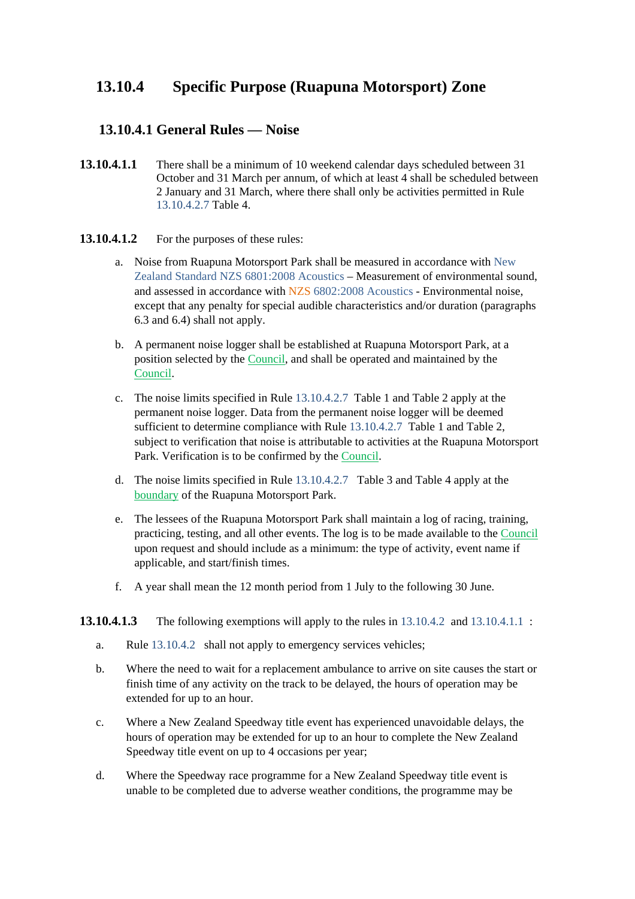# **13.10.4 Specific Purpose (Ruapuna Motorsport) Zone**

# **13.10.4.1 General Rules — Noise**

**13.10.4.1.1** There shall be a minimum of 10 weekend calendar days scheduled between 31 October and 31 March per annum, of which at least 4 shall be scheduled between 2 January and 31 March, where there shall only be activities permitted in Rule 13.10.4.2.7 Table 4.

#### **13.10.4.1.2** For the purposes of these rules:

- a. Noise from Ruapuna Motorsport Park shall be measured in accordance with New Zealand Standard NZS 6801:2008 Acoustics – Measurement of environmental sound, and assessed in accordance with NZS 6802:2008 Acoustics - Environmental noise, except that any penalty for special audible characteristics and/or duration (paragraphs 6.3 and 6.4) shall not apply.
- b. A permanent noise logger shall be established at Ruapuna Motorsport Park, at a position selected by the Council, and shall be operated and maintained by the Council.
- c. The noise limits specified in Rule 13.10.4.2.7 Table 1 and Table 2 apply at the permanent noise logger. Data from the permanent noise logger will be deemed sufficient to determine compliance with Rule 13.10.4.2.7 Table 1 and Table 2, subject to verification that noise is attributable to activities at the Ruapuna Motorsport Park. Verification is to be confirmed by the Council.
- d. The noise limits specified in Rule 13.10.4.2.7 Table 3 and Table 4 apply at the boundary of the Ruapuna Motorsport Park.
- e. The lessees of the Ruapuna Motorsport Park shall maintain a log of racing, training, practicing, testing, and all other events. The log is to be made available to the Council upon request and should include as a minimum: the type of activity, event name if applicable, and start/finish times.
- f. A year shall mean the 12 month period from 1 July to the following 30 June.

#### **13.10.4.1.3** The following exemptions will apply to the rules in 13.10.4.2 and 13.10.4.1.1 :

- a. Rule 13.10.4.2 shall not apply to emergency services vehicles;
- b. Where the need to wait for a replacement ambulance to arrive on site causes the start or finish time of any activity on the track to be delayed, the hours of operation may be extended for up to an hour.
- c. Where a New Zealand Speedway title event has experienced unavoidable delays, the hours of operation may be extended for up to an hour to complete the New Zealand Speedway title event on up to 4 occasions per year;
- d. Where the Speedway race programme for a New Zealand Speedway title event is unable to be completed due to adverse weather conditions, the programme may be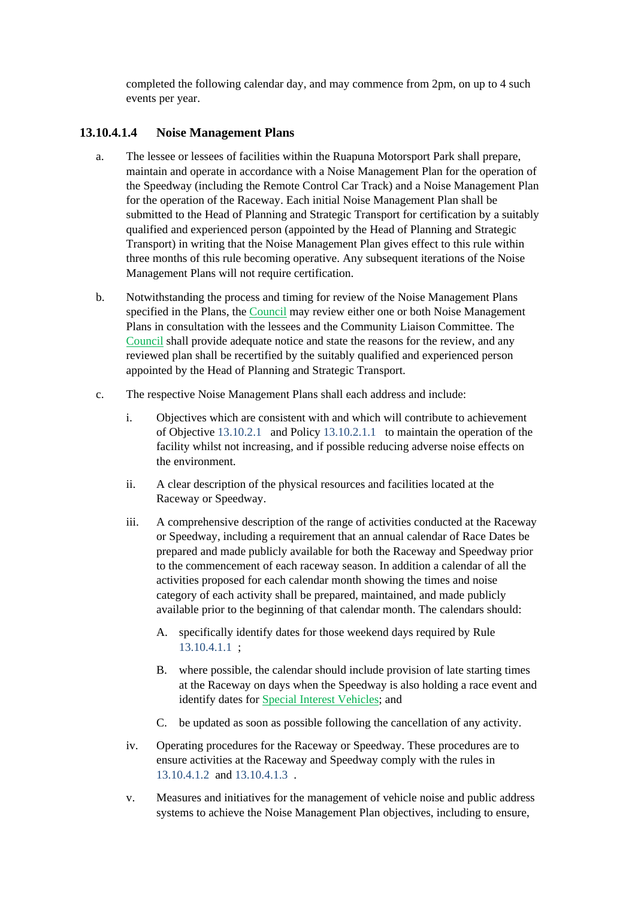completed the following calendar day, and may commence from 2pm, on up to 4 such events per year.

#### **13.10.4.1.4 Noise Management Plans**

- a. The lessee or lessees of facilities within the Ruapuna Motorsport Park shall prepare, maintain and operate in accordance with a Noise Management Plan for the operation of the Speedway (including the Remote Control Car Track) and a Noise Management Plan for the operation of the Raceway. Each initial Noise Management Plan shall be submitted to the Head of Planning and Strategic Transport for certification by a suitably qualified and experienced person (appointed by the Head of Planning and Strategic Transport) in writing that the Noise Management Plan gives effect to this rule within three months of this rule becoming operative. Any subsequent iterations of the Noise Management Plans will not require certification.
- b. Notwithstanding the process and timing for review of the Noise Management Plans specified in the Plans, the Council may review either one or both Noise Management Plans in consultation with the lessees and the Community Liaison Committee. The Council shall provide adequate notice and state the reasons for the review, and any reviewed plan shall be recertified by the suitably qualified and experienced person appointed by the Head of Planning and Strategic Transport.
- c. The respective Noise Management Plans shall each address and include:
	- i. Objectives which are consistent with and which will contribute to achievement of Objective 13.10.2.1 and Policy 13.10.2.1.1 to maintain the operation of the facility whilst not increasing, and if possible reducing adverse noise effects on the environment.
	- ii. A clear description of the physical resources and facilities located at the Raceway or Speedway.
	- iii. A comprehensive description of the range of activities conducted at the Raceway or Speedway, including a requirement that an annual calendar of Race Dates be prepared and made publicly available for both the Raceway and Speedway prior to the commencement of each raceway season. In addition a calendar of all the activities proposed for each calendar month showing the times and noise category of each activity shall be prepared, maintained, and made publicly available prior to the beginning of that calendar month. The calendars should:
		- A. specifically identify dates for those weekend days required by Rule 13.10.4.1.1 ;
		- B. where possible, the calendar should include provision of late starting times at the Raceway on days when the Speedway is also holding a race event and identify dates for Special Interest Vehicles; and
		- C. be updated as soon as possible following the cancellation of any activity.
	- iv. Operating procedures for the Raceway or Speedway. These procedures are to ensure activities at the Raceway and Speedway comply with the rules in 13.10.4.1.2 and 13.10.4.1.3 .
	- v. Measures and initiatives for the management of vehicle noise and public address systems to achieve the Noise Management Plan objectives, including to ensure,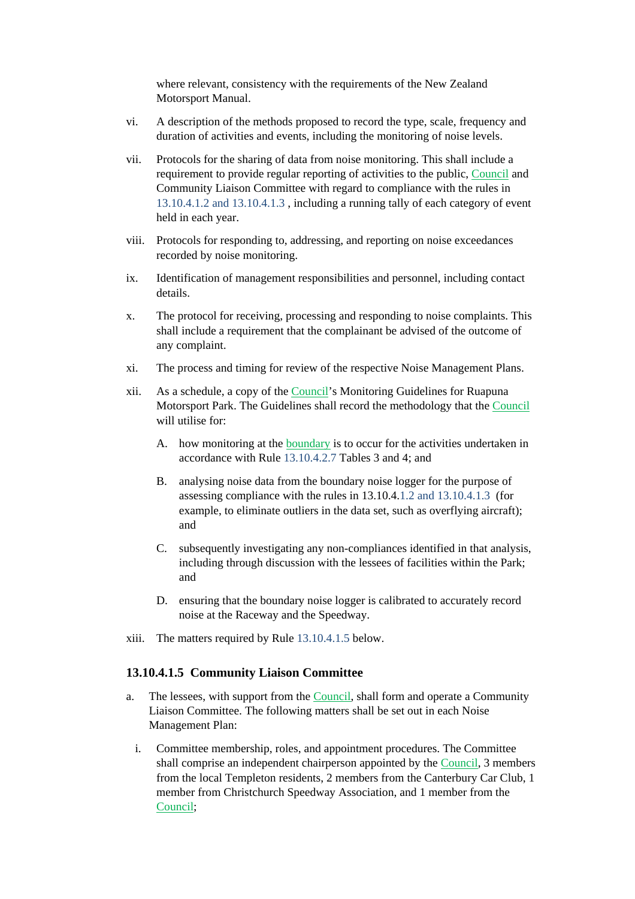where relevant, consistency with the requirements of the New Zealand Motorsport Manual.

- vi. A description of the methods proposed to record the type, scale, frequency and duration of activities and events, including the monitoring of noise levels.
- vii. Protocols for the sharing of data from noise monitoring. This shall include a requirement to provide regular reporting of activities to the public, Council and Community Liaison Committee with regard to compliance with the rules in 13.10.4.1.2 and 13.10.4.1.3 , including a running tally of each category of event held in each year.
- viii. Protocols for responding to, addressing, and reporting on noise exceedances recorded by noise monitoring.
- ix. Identification of management responsibilities and personnel, including contact details.
- x. The protocol for receiving, processing and responding to noise complaints. This shall include a requirement that the complainant be advised of the outcome of any complaint.
- xi. The process and timing for review of the respective Noise Management Plans.
- xii. As a schedule, a copy of the Council's Monitoring Guidelines for Ruapuna Motorsport Park. The Guidelines shall record the methodology that the Council will utilise for:
	- A. how monitoring at the boundary is to occur for the activities undertaken in accordance with Rule 13.10.4.2.7 Tables 3 and 4; and
	- B. analysing noise data from the boundary noise logger for the purpose of assessing compliance with the rules in 13.10.4.1.2 and 13.10.4.1.3 (for example, to eliminate outliers in the data set, such as overflying aircraft); and
	- C. subsequently investigating any non-compliances identified in that analysis, including through discussion with the lessees of facilities within the Park; and
	- D. ensuring that the boundary noise logger is calibrated to accurately record noise at the Raceway and the Speedway.
- xiii. The matters required by Rule 13.10.4.1.5 below.

#### **13.10.4.1.5 Community Liaison Committee**

- a. The lessees, with support from the Council, shall form and operate a Community Liaison Committee. The following matters shall be set out in each Noise Management Plan:
	- i. Committee membership, roles, and appointment procedures. The Committee shall comprise an independent chairperson appointed by the Council, 3 members from the local Templeton residents, 2 members from the Canterbury Car Club, 1 member from Christchurch Speedway Association, and 1 member from the Council;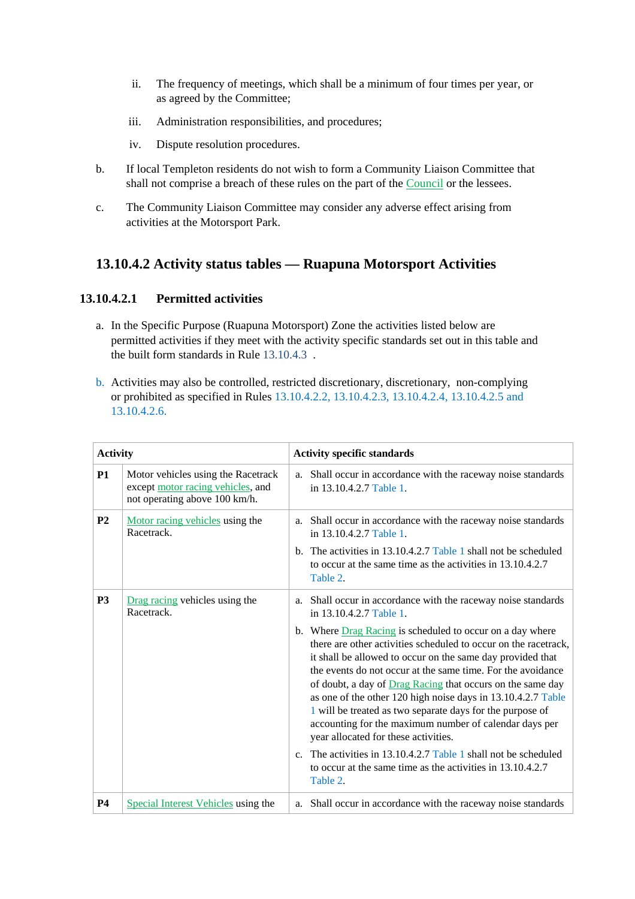- ii. The frequency of meetings, which shall be a minimum of four times per year, or as agreed by the Committee;
- iii. Administration responsibilities, and procedures;
- iv. Dispute resolution procedures.
- b. If local Templeton residents do not wish to form a Community Liaison Committee that shall not comprise a breach of these rules on the part of the Council or the lessees.
- c. The Community Liaison Committee may consider any adverse effect arising from activities at the Motorsport Park.

# **13.10.4.2 Activity status tables — Ruapuna Motorsport Activities**

### **13.10.4.2.1 Permitted activities**

- a. In the Specific Purpose (Ruapuna Motorsport) Zone the activities listed below are permitted activities if they meet with the activity specific standards set out in this table and the built form standards in Rule 13.10.4.3 .
- b. Activities may also be controlled, restricted discretionary, discretionary, non-complying or prohibited as specified in Rules 13.10.4.2.2, 13.10.4.2.3, 13.10.4.2.4, 13.10.4.2.5 and 13.10.4.2.6.

| <b>Activity</b> |                                                                                                          | <b>Activity specific standards</b>                                                                                                                                                                                                                                                                                                                                                                                                                                                                                                                            |
|-----------------|----------------------------------------------------------------------------------------------------------|---------------------------------------------------------------------------------------------------------------------------------------------------------------------------------------------------------------------------------------------------------------------------------------------------------------------------------------------------------------------------------------------------------------------------------------------------------------------------------------------------------------------------------------------------------------|
| <b>P1</b>       | Motor vehicles using the Racetrack<br>except motor racing vehicles, and<br>not operating above 100 km/h. | a. Shall occur in accordance with the raceway noise standards<br>in 13.10.4.2.7 Table 1.                                                                                                                                                                                                                                                                                                                                                                                                                                                                      |
| P <sub>2</sub>  | Motor racing vehicles using the<br>Racetrack.                                                            | a. Shall occur in accordance with the raceway noise standards<br>in 13.10.4.2.7 Table 1.                                                                                                                                                                                                                                                                                                                                                                                                                                                                      |
|                 |                                                                                                          | b. The activities in $13.10.4.2.7$ Table 1 shall not be scheduled<br>to occur at the same time as the activities in 13.10.4.2.7<br>Table 2.                                                                                                                                                                                                                                                                                                                                                                                                                   |
| <b>P3</b>       | Drag racing vehicles using the<br>Racetrack.                                                             | a. Shall occur in accordance with the raceway noise standards<br>in 13.10.4.2.7 Table 1.                                                                                                                                                                                                                                                                                                                                                                                                                                                                      |
|                 |                                                                                                          | b. Where Drag Racing is scheduled to occur on a day where<br>there are other activities scheduled to occur on the racetrack,<br>it shall be allowed to occur on the same day provided that<br>the events do not occur at the same time. For the avoidance<br>of doubt, a day of <b>Drag Racing</b> that occurs on the same day<br>as one of the other 120 high noise days in 13.10.4.2.7 Table<br>1 will be treated as two separate days for the purpose of<br>accounting for the maximum number of calendar days per<br>year allocated for these activities. |
|                 |                                                                                                          | c. The activities in 13.10.4.2.7 Table 1 shall not be scheduled<br>to occur at the same time as the activities in 13.10.4.2.7<br>Table 2.                                                                                                                                                                                                                                                                                                                                                                                                                     |
| <b>P4</b>       | <b>Special Interest Vehicles</b> using the                                                               | a. Shall occur in accordance with the raceway noise standards                                                                                                                                                                                                                                                                                                                                                                                                                                                                                                 |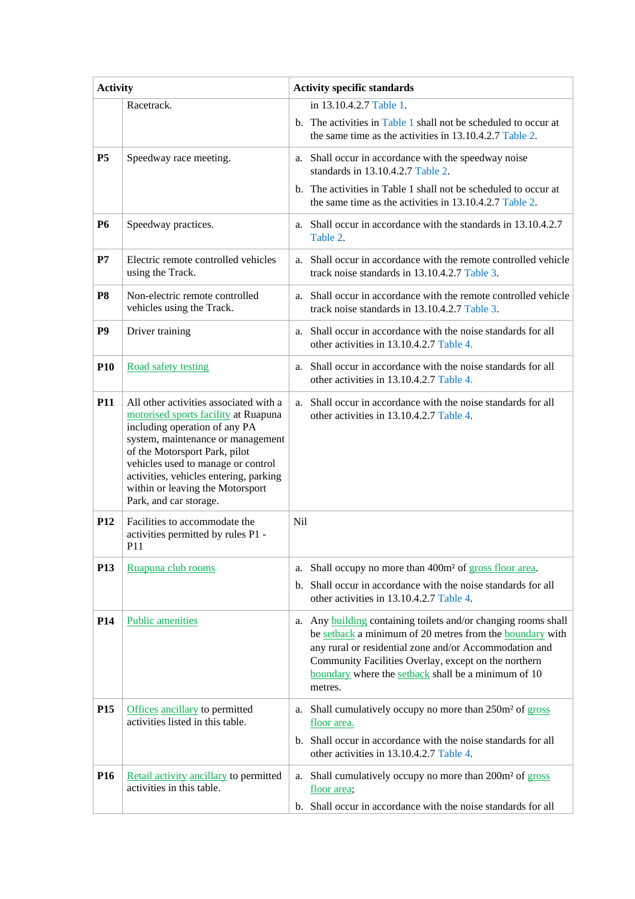| <b>Activity</b> |                                                                                                                                                                                                                                                                                                                                     | <b>Activity specific standards</b>                                                                                                                                                                                                                                                                                       |  |  |  |  |
|-----------------|-------------------------------------------------------------------------------------------------------------------------------------------------------------------------------------------------------------------------------------------------------------------------------------------------------------------------------------|--------------------------------------------------------------------------------------------------------------------------------------------------------------------------------------------------------------------------------------------------------------------------------------------------------------------------|--|--|--|--|
|                 | Racetrack.                                                                                                                                                                                                                                                                                                                          | in 13.10.4.2.7 Table 1.                                                                                                                                                                                                                                                                                                  |  |  |  |  |
|                 |                                                                                                                                                                                                                                                                                                                                     | b. The activities in Table 1 shall not be scheduled to occur at<br>the same time as the activities in 13.10.4.2.7 Table 2.                                                                                                                                                                                               |  |  |  |  |
| <b>P5</b>       | Speedway race meeting.                                                                                                                                                                                                                                                                                                              | a. Shall occur in accordance with the speedway noise<br>standards in 13.10.4.2.7 Table 2.                                                                                                                                                                                                                                |  |  |  |  |
|                 |                                                                                                                                                                                                                                                                                                                                     | b. The activities in Table 1 shall not be scheduled to occur at<br>the same time as the activities in 13.10.4.2.7 Table 2.                                                                                                                                                                                               |  |  |  |  |
| <b>P6</b>       | Speedway practices.                                                                                                                                                                                                                                                                                                                 | Shall occur in accordance with the standards in 13.10.4.2.7<br>a.<br>Table 2.                                                                                                                                                                                                                                            |  |  |  |  |
| P7              | Electric remote controlled vehicles<br>using the Track.                                                                                                                                                                                                                                                                             | Shall occur in accordance with the remote controlled vehicle<br>a.<br>track noise standards in 13.10.4.2.7 Table 3.                                                                                                                                                                                                      |  |  |  |  |
| P <sub>8</sub>  | Non-electric remote controlled<br>vehicles using the Track.                                                                                                                                                                                                                                                                         | Shall occur in accordance with the remote controlled vehicle<br>a.<br>track noise standards in 13.10.4.2.7 Table 3.                                                                                                                                                                                                      |  |  |  |  |
| P <sub>9</sub>  | Driver training                                                                                                                                                                                                                                                                                                                     | Shall occur in accordance with the noise standards for all<br>a.<br>other activities in 13.10.4.2.7 Table 4.                                                                                                                                                                                                             |  |  |  |  |
| <b>P10</b>      | Road safety testing                                                                                                                                                                                                                                                                                                                 | Shall occur in accordance with the noise standards for all<br>a.<br>other activities in 13.10.4.2.7 Table 4.                                                                                                                                                                                                             |  |  |  |  |
| P <sub>11</sub> | All other activities associated with a<br>motorised sports facility at Ruapuna<br>including operation of any PA<br>system, maintenance or management<br>of the Motorsport Park, pilot<br>vehicles used to manage or control<br>activities, vehicles entering, parking<br>within or leaving the Motorsport<br>Park, and car storage. | Shall occur in accordance with the noise standards for all<br>a.<br>other activities in 13.10.4.2.7 Table 4.                                                                                                                                                                                                             |  |  |  |  |
| <b>P12</b>      | Facilities to accommodate the<br>activities permitted by rules P1 -<br>P11                                                                                                                                                                                                                                                          | Nil                                                                                                                                                                                                                                                                                                                      |  |  |  |  |
| P <sub>13</sub> | Ruapuna club rooms                                                                                                                                                                                                                                                                                                                  | Shall occupy no more than 400m <sup>2</sup> of gross floor area.<br>a.<br>b. Shall occur in accordance with the noise standards for all<br>other activities in 13.10.4.2.7 Table 4.                                                                                                                                      |  |  |  |  |
| P <sub>14</sub> | <b>Public amenities</b>                                                                                                                                                                                                                                                                                                             | Any <b>building</b> containing toilets and/or changing rooms shall<br>a.<br>be setback a minimum of 20 metres from the boundary with<br>any rural or residential zone and/or Accommodation and<br>Community Facilities Overlay, except on the northern<br>boundary where the setback shall be a minimum of 10<br>metres. |  |  |  |  |
| P <sub>15</sub> | Offices ancillary to permitted<br>activities listed in this table.                                                                                                                                                                                                                                                                  | Shall cumulatively occupy no more than 250m <sup>2</sup> of gross<br>a.<br>floor area.<br>b. Shall occur in accordance with the noise standards for all<br>other activities in 13.10.4.2.7 Table 4.                                                                                                                      |  |  |  |  |
| P <sub>16</sub> | Retail activity ancillary to permitted<br>activities in this table.                                                                                                                                                                                                                                                                 | Shall cumulatively occupy no more than 200m <sup>2</sup> of gross<br>a.<br>floor area;<br>b. Shall occur in accordance with the noise standards for all                                                                                                                                                                  |  |  |  |  |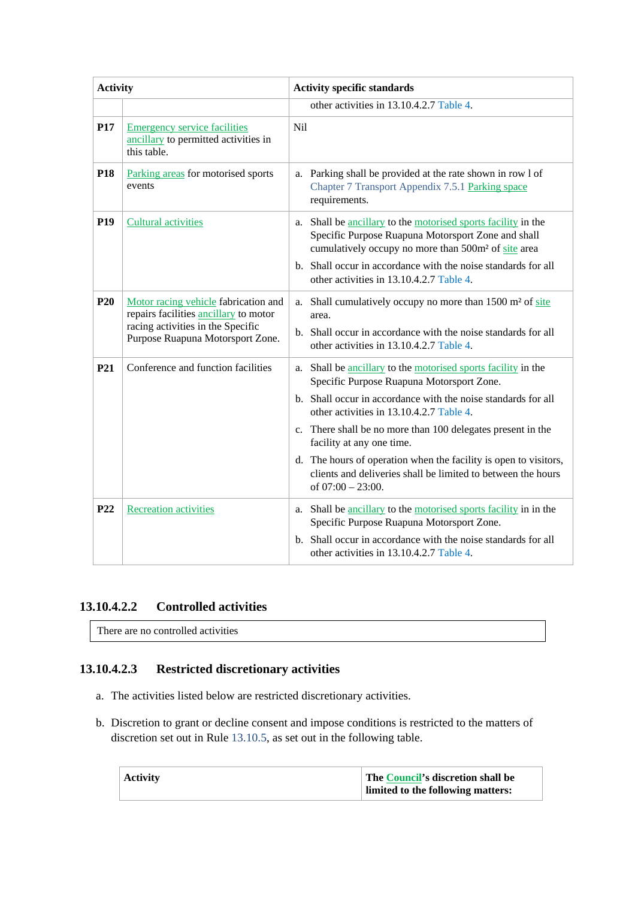| <b>Activity</b> |                                                                                            | <b>Activity specific standards</b>                                                                                                                                                                                                                      |  |  |  |  |
|-----------------|--------------------------------------------------------------------------------------------|---------------------------------------------------------------------------------------------------------------------------------------------------------------------------------------------------------------------------------------------------------|--|--|--|--|
|                 |                                                                                            | other activities in 13.10.4.2.7 Table 4.                                                                                                                                                                                                                |  |  |  |  |
| P17             | <b>Emergency service facilities</b><br>ancillary to permitted activities in<br>this table. | Nil                                                                                                                                                                                                                                                     |  |  |  |  |
| P <sub>18</sub> | Parking areas for motorised sports<br>events                                               | Parking shall be provided at the rate shown in row 1 of<br>a.<br>Chapter 7 Transport Appendix 7.5.1 Parking space<br>requirements.                                                                                                                      |  |  |  |  |
| <b>P19</b>      | <b>Cultural activities</b>                                                                 | a. Shall be ancillary to the motorised sports facility in the<br>Specific Purpose Ruapuna Motorsport Zone and shall<br>cumulatively occupy no more than 500m <sup>2</sup> of site area<br>b. Shall occur in accordance with the noise standards for all |  |  |  |  |
|                 |                                                                                            | other activities in 13.10.4.2.7 Table 4.                                                                                                                                                                                                                |  |  |  |  |
| <b>P20</b>      | Motor racing vehicle fabrication and<br>repairs facilities ancillary to motor              | Shall cumulatively occupy no more than 1500 m <sup>2</sup> of site<br>a.<br>area.                                                                                                                                                                       |  |  |  |  |
|                 | racing activities in the Specific<br>Purpose Ruapuna Motorsport Zone.                      | b. Shall occur in accordance with the noise standards for all<br>other activities in 13.10.4.2.7 Table 4.                                                                                                                                               |  |  |  |  |
| P21             | Conference and function facilities                                                         | a. Shall be ancillary to the motorised sports facility in the<br>Specific Purpose Ruapuna Motorsport Zone.                                                                                                                                              |  |  |  |  |
|                 |                                                                                            | b. Shall occur in accordance with the noise standards for all<br>other activities in 13.10.4.2.7 Table 4.                                                                                                                                               |  |  |  |  |
|                 |                                                                                            | c. There shall be no more than 100 delegates present in the<br>facility at any one time.                                                                                                                                                                |  |  |  |  |
|                 |                                                                                            | d. The hours of operation when the facility is open to visitors,<br>clients and deliveries shall be limited to between the hours<br>of $07:00 - 23:00$ .                                                                                                |  |  |  |  |
| P <sub>22</sub> | <b>Recreation activities</b>                                                               | a. Shall be ancillary to the motorised sports facility in in the<br>Specific Purpose Ruapuna Motorsport Zone.                                                                                                                                           |  |  |  |  |
|                 |                                                                                            | b. Shall occur in accordance with the noise standards for all<br>other activities in 13.10.4.2.7 Table 4.                                                                                                                                               |  |  |  |  |

### **13.10.4.2.2 Controlled activities**

There are no controlled activities

## **13.10.4.2.3 Restricted discretionary activities**

- a. The activities listed below are restricted discretionary activities.
- b. Discretion to grant or decline consent and impose conditions is restricted to the matters of discretion set out in Rule 13.10.5, as set out in the following table.

| <b>Activity</b> | The Council's discretion shall be<br>limited to the following matters: |
|-----------------|------------------------------------------------------------------------|
|                 |                                                                        |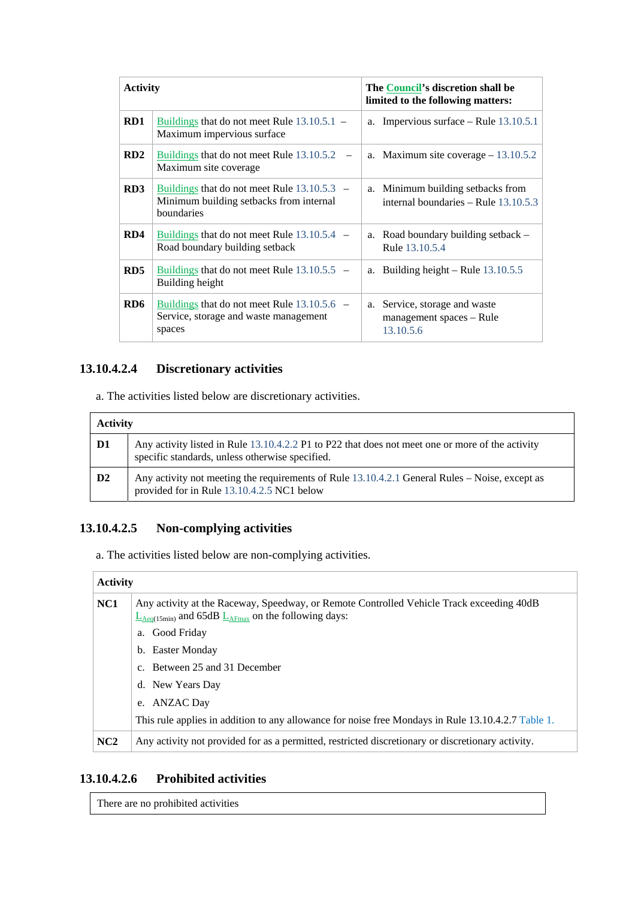| <b>Activity</b> |                                                                                                        | The Council's discretion shall be<br>limited to the following matters:    |
|-----------------|--------------------------------------------------------------------------------------------------------|---------------------------------------------------------------------------|
| RD1             | Buildings that do not meet Rule $13.10.5.1$ –<br>Maximum impervious surface                            | a. Impervious surface – Rule $13.10.5.1$                                  |
| RD <sub>2</sub> | Buildings that do not meet Rule $13.10.5.2$ –<br>Maximum site coverage                                 | a. Maximum site coverage $-13.10.5.2$                                     |
| RD3             | Buildings that do not meet Rule $13.10.5.3$ –<br>Minimum building setbacks from internal<br>boundaries | a. Minimum building setbacks from<br>internal boundaries - Rule 13.10.5.3 |
| RD4             | Buildings that do not meet Rule $13.10.5.4$ –<br>Road boundary building setback                        | Road boundary building setback –<br>a.<br>Rule 13.10.5.4                  |
| RD <sub>5</sub> | Buildings that do not meet Rule $13.10.5.5$ –<br>Building height                                       | Building height – Rule $13.10.5.5$<br>a.                                  |
| RD6             | Buildings that do not meet Rule $13.10.5.6$ –<br>Service, storage and waste management<br>spaces       | Service, storage and waste<br>a.<br>management spaces – Rule<br>13.10.5.6 |

### **13.10.4.2.4 Discretionary activities**

a. The activities listed below are discretionary activities.

| <b>Activity</b> |                                                                                                                                                     |  |  |  |  |
|-----------------|-----------------------------------------------------------------------------------------------------------------------------------------------------|--|--|--|--|
| D1              | Any activity listed in Rule 13.10.4.2.2 P1 to P22 that does not meet one or more of the activity<br>specific standards, unless otherwise specified. |  |  |  |  |
| D2              | Any activity not meeting the requirements of Rule 13.10.4.2.1 General Rules - Noise, except as<br>provided for in Rule 13.10.4.2.5 NC1 below        |  |  |  |  |

# **13.10.4.2.5 Non-complying activities**

a. The activities listed below are non-complying activities.

### **Activity**

| NC <sub>1</sub> | Any activity at the Raceway, Speedway, or Remote Controlled Vehicle Track exceeding 40dB<br>$L_{Aeq(15min)}$ and 65dB $L_{AFmax}$ on the following days: |  |  |  |  |  |  |
|-----------------|----------------------------------------------------------------------------------------------------------------------------------------------------------|--|--|--|--|--|--|
|                 | a. Good Friday                                                                                                                                           |  |  |  |  |  |  |
|                 | b. Easter Monday                                                                                                                                         |  |  |  |  |  |  |
|                 | c. Between 25 and 31 December                                                                                                                            |  |  |  |  |  |  |
|                 | d. New Years Day                                                                                                                                         |  |  |  |  |  |  |
|                 | e. ANZAC Day                                                                                                                                             |  |  |  |  |  |  |
|                 | This rule applies in addition to any allowance for noise free Mondays in Rule 13.10.4.2.7 Table 1.                                                       |  |  |  |  |  |  |
| NC2             | Any activity not provided for as a permitted, restricted discretionary or discretionary activity.                                                        |  |  |  |  |  |  |

# **13.10.4.2.6 Prohibited activities**

There are no prohibited activities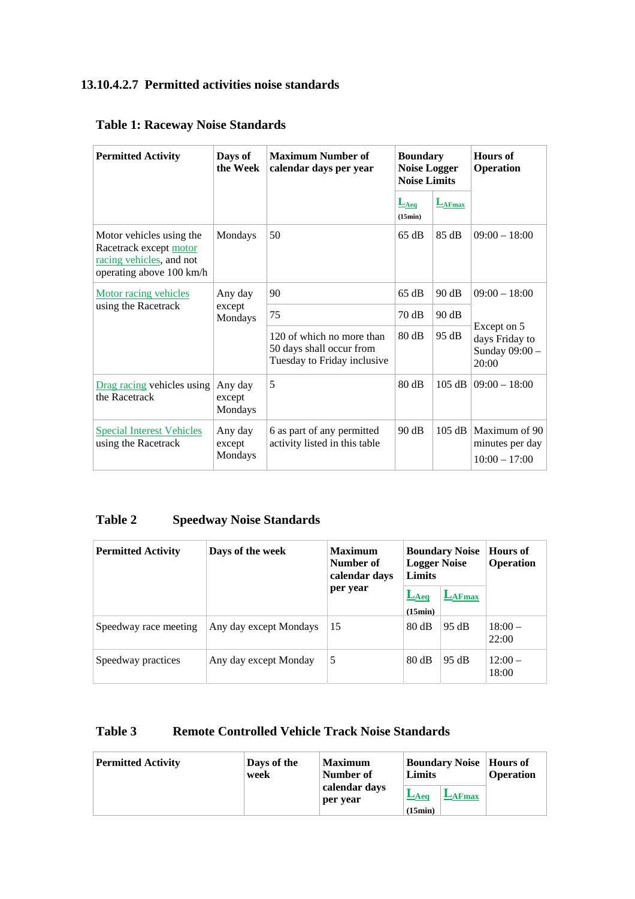# **13.10.4.2.7 Permitted activities noise standards**

| <b>Permitted Activity</b>                                                                                  | Days of<br>the Week          | <b>Maximum Number of</b><br>calendar days per year                                   | <b>Boundary</b><br><b>Noise Logger</b><br><b>Noise Limits</b> |                    | Hours of<br><b>Operation</b>                             |
|------------------------------------------------------------------------------------------------------------|------------------------------|--------------------------------------------------------------------------------------|---------------------------------------------------------------|--------------------|----------------------------------------------------------|
|                                                                                                            |                              |                                                                                      | $L_{Aeq}$<br>(15min)                                          | $L_{\text{AFmax}}$ |                                                          |
| Motor vehicles using the<br>Racetrack except motor<br>racing vehicles, and not<br>operating above 100 km/h | Mondays                      | 50                                                                                   | 65 dB                                                         | 85 dB              | $09:00 - 18:00$                                          |
| Motor racing vehicles                                                                                      | Any day<br>except<br>Mondays | 90                                                                                   | 65 dB                                                         | 90 dB              | $09:00 - 18:00$                                          |
| using the Racetrack                                                                                        |                              | 75                                                                                   | 70 dB                                                         | 90 dB              |                                                          |
|                                                                                                            |                              | 120 of which no more than<br>50 days shall occur from<br>Tuesday to Friday inclusive | 80 dB                                                         | 95 dB              | Except on 5<br>days Friday to<br>Sunday 09:00 -<br>20:00 |
| Drag racing vehicles using<br>the Racetrack                                                                | Any day<br>except<br>Mondays | 5                                                                                    | 80 dB                                                         | 105 dB             | $09:00 - 18:00$                                          |
| <b>Special Interest Vehicles</b><br>using the Racetrack                                                    | Any day<br>except<br>Mondays | 6 as part of any permitted<br>activity listed in this table                          | 90 dB                                                         | 105 dB             | Maximum of 90<br>minutes per day<br>$10:00 - 17:00$      |

# **Table 1: Raceway Noise Standards**

# **Table 2 Speedway Noise Standards**

| <b>Permitted Activity</b> | Days of the week       | <b>Maximum</b><br>Number of<br>calendar days | <b>Boundary Noise</b><br><b>Logger Noise</b><br><b>Limits</b> |           | <b>Hours</b> of<br><b>Operation</b> |
|---------------------------|------------------------|----------------------------------------------|---------------------------------------------------------------|-----------|-------------------------------------|
|                           |                        | per year                                     | $L_{Aeq}$<br>(15min)                                          | $L$ AFmax |                                     |
| Speedway race meeting     | Any day except Mondays | 15                                           | 80 dB                                                         | 95 dB     | $18:00-$<br>22:00                   |
| Speedway practices        | Any day except Monday  | 5                                            | 80 dB                                                         | 95 dB     | $12:00-$<br>18:00                   |

# **Table 3 Remote Controlled Vehicle Track Noise Standards**

| <b>Permitted Activity</b> | Days of the<br>week | <b>Maximum</b><br>Number of | <b>Boundary Noise</b>   <b>Hours</b> of<br>Limits |                 | <b>Operation</b> |
|---------------------------|---------------------|-----------------------------|---------------------------------------------------|-----------------|------------------|
|                           |                     | calendar days<br>per year   | $L_{Aeq}$<br>(15min)                              | $L_{\rm AFmax}$ |                  |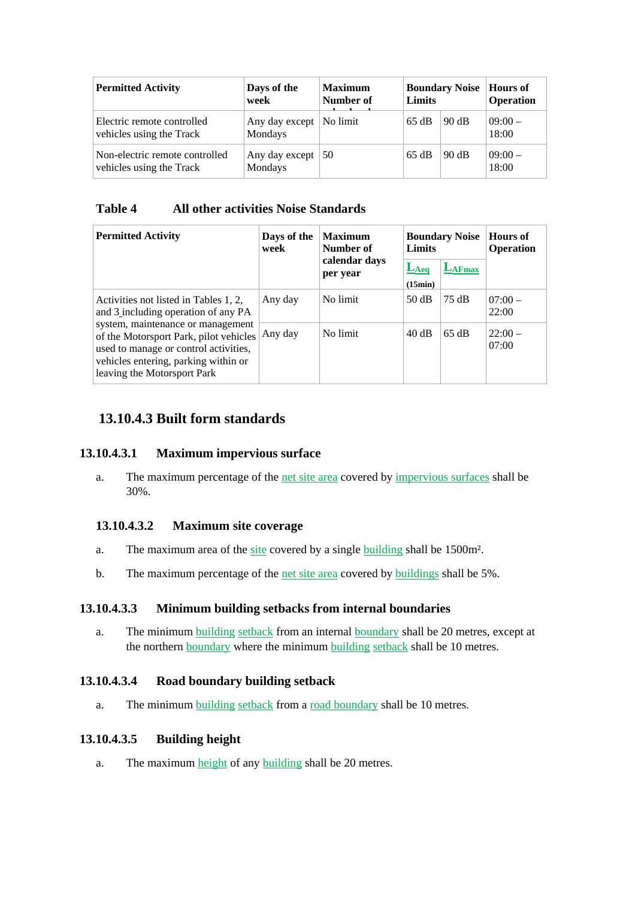| <b>Permitted Activity</b>                                  | Days of the<br>week         | <b>Maximum</b><br>Number of | <b>Boundary Noise</b><br>Limits |       | Hours of<br><b>Operation</b> |
|------------------------------------------------------------|-----------------------------|-----------------------------|---------------------------------|-------|------------------------------|
| Electric remote controlled<br>vehicles using the Track     | Any day except  <br>Mondays | No limit                    | 65 dB                           | 90 dB | $09:00-$<br>18:00            |
| Non-electric remote controlled<br>vehicles using the Track | Any day except  <br>Mondays | 50                          | 65 dB                           | 90 dB | $09:00-$<br>18:00            |

### **Table 4 All other activities Noise Standards**

| <b>Permitted Activity</b>                                                                                                                                                                   | Days of the<br>week | <b>Maximum</b><br>Number of<br>calendar days<br>per year | <b>Boundary Noise</b><br>Limits |                 | <b>Hours of</b><br><b>Operation</b> |
|---------------------------------------------------------------------------------------------------------------------------------------------------------------------------------------------|---------------------|----------------------------------------------------------|---------------------------------|-----------------|-------------------------------------|
|                                                                                                                                                                                             |                     |                                                          | $L_{Aeq}$<br>(15min)            | $L_{\rm AFmax}$ |                                     |
| Activities not listed in Tables 1, 2,<br>and 3 including operation of any PA                                                                                                                | Any day             | No limit                                                 | 50dB                            | 75 dB           | $07:00-$<br>22:00                   |
| system, maintenance or management<br>of the Motorsport Park, pilot vehicles<br>used to manage or control activities,<br>vehicles entering, parking within or<br>leaving the Motorsport Park | Any day             | No limit                                                 | 40dB                            | 65 dB           | $22:00-$<br>07:00                   |

# **13.10.4.3 Built form standards**

### **13.10.4.3.1 Maximum impervious surface**

a. The maximum percentage of the net site area covered by impervious surfaces shall be 30%.

### **13.10.4.3.2 Maximum site coverage**

- a. The maximum area of the site covered by a single building shall be 1500m².
- b. The maximum percentage of the net site area covered by buildings shall be 5%.

#### **13.10.4.3.3 Minimum building setbacks from internal boundaries**

a. The minimum building setback from an internal boundary shall be 20 metres, except at the northern boundary where the minimum building setback shall be 10 metres.

#### **13.10.4.3.4 Road boundary building setback**

a. The minimum building setback from a road boundary shall be 10 metres.

#### **13.10.4.3.5 Building height**

a. The maximum height of any building shall be 20 metres.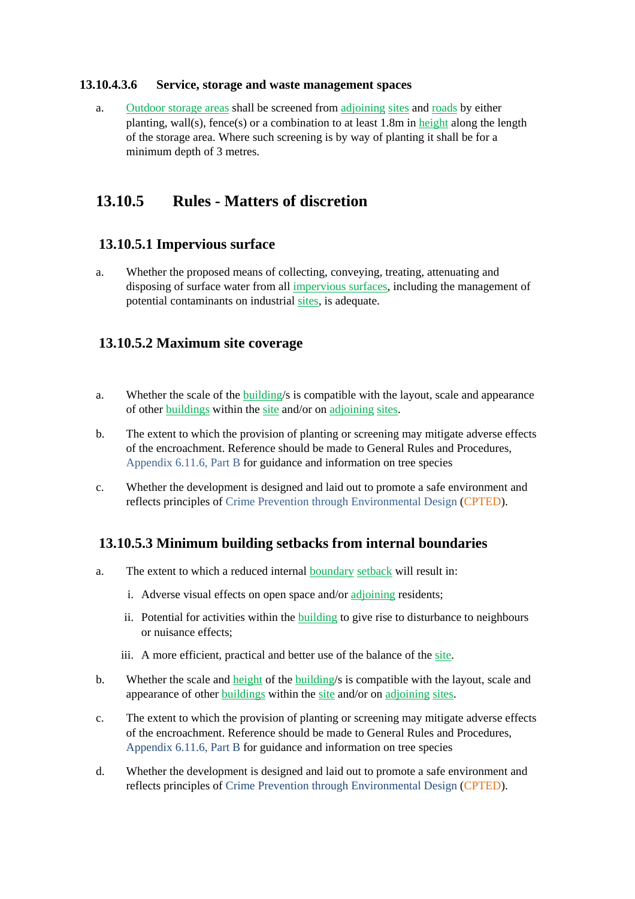#### **13.10.4.3.6 Service, storage and waste management spaces**

a. Outdoor storage areas shall be screened from adjoining sites and roads by either planting, wall(s), fence(s) or a combination to at least 1.8m in height along the length of the storage area. Where such screening is by way of planting it shall be for a minimum depth of 3 metres.

# **13.10.5 Rules - Matters of discretion**

### **13.10.5.1 Impervious surface**

a. Whether the proposed means of collecting, conveying, treating, attenuating and disposing of surface water from all impervious surfaces, including the management of potential contaminants on industrial sites, is adequate.

### **13.10.5.2 Maximum site coverage**

- a. Whether the scale of the building/s is compatible with the layout, scale and appearance of other buildings within the site and/or on adjoining sites.
- b. The extent to which the provision of planting or screening may mitigate adverse effects of the encroachment. Reference should be made to General Rules and Procedures, Appendix 6.11.6, Part B for guidance and information on tree species
- c. Whether the development is designed and laid out to promote a safe environment and reflects principles of Crime Prevention through Environmental Design (CPTED).

# **13.10.5.3 Minimum building setbacks from internal boundaries**

- a. The extent to which a reduced internal boundary setback will result in:
	- i. Adverse visual effects on open space and/or adjoining residents;
	- ii. Potential for activities within the building to give rise to disturbance to neighbours or nuisance effects;
	- iii. A more efficient, practical and better use of the balance of the site.
- b. Whether the scale and height of the building/s is compatible with the layout, scale and appearance of other buildings within the site and/or on adjoining sites.
- c. The extent to which the provision of planting or screening may mitigate adverse effects of the encroachment. Reference should be made to General Rules and Procedures, Appendix 6.11.6, Part B for guidance and information on tree species
- d. Whether the development is designed and laid out to promote a safe environment and reflects principles of Crime Prevention through Environmental Design (CPTED).